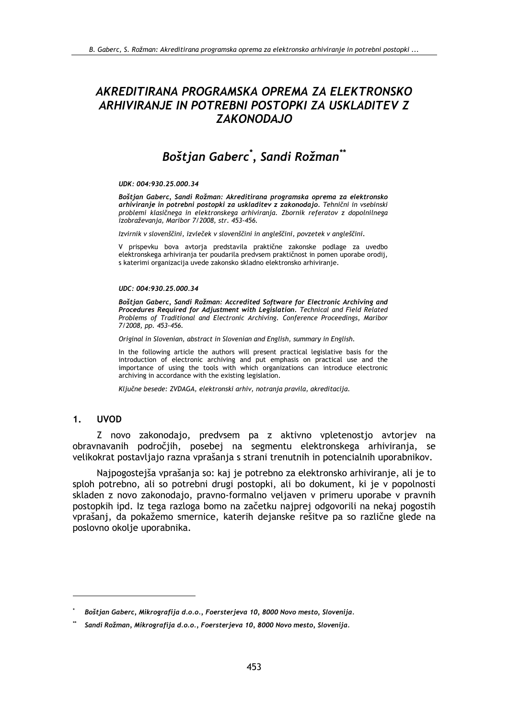## AKREDITIRANA PROGRAMSKA OPREMA ZA ELEKTRONSKO ARHIVIRANJE IN POTREBNI POSTOPKI ZA USKLADITEV Z **ZAKONODA.IO**

# Boštjan Gaberc<sup>\*</sup>, Sandi Rožman<sup>\*\*</sup>

## UDK: 004:930.25.000.34

Boštjan Gaberc, Sandi Rožman: Akreditirana programska oprema za elektronsko arhiviranie in potrebni postopki za uskladitev z zakonodajo. Tehnični in vsebinski problemi klasičnega in elektronskega arhiviranja. Zbornik referatov z dopolnilnega izobraževanja, Maribor 7/2008, str. 453-456.

Izvirnik v slovenščini, izvleček v slovenščini in angleščini, povzetek v angleščini.

V prispevku bova avtorja predstavila praktične zakonske podlage za uvedbo elektronskega arhiviranja ter poudarila predvsem praktičnost in pomen uporabe orodij, s katerimi organizacija uvede zakonsko skladno elektronsko arhiviranje.

### UDC: 004:930.25.000.34

Boštjan Gaberc, Sandi Rožman: Accredited Software for Electronic Archiving and Procedures Required for Adjustment with Legislation. Technical and Field Related Problems of Traditional and Electronic Archiving. Conference Proceedings, Maribor 7/2008, pp. 453-456.

Original in Slovenian, abstract in Slovenian and English, summary in English.

In the following article the authors will present practical legislative basis for the introduction of electronic archiving and put emphasis on practical use and the importance of using the tools with which organizations can introduce electronic archiving in accordance with the existing legislation.

Ključne besede: ZVDAGA, elektronski arhiv, notranja pravila, akreditacija.

#### **UVOD**  $1<sub>1</sub>$

Z novo zakonodajo, predvsem pa z aktivno vpletenostjo avtorjev na obravnavanih področjih, posebej na segmentu elektronskega arhivirania, se velikokrat postavljajo razna vprašanja s strani trenutnih in potencialnih uporabnikov.

Najpogostejša vprašanja so: kaj je potrebno za elektronsko arhiviranje, ali je to sploh potrebno, ali so potrebni drugi postopki, ali bo dokument, ki je v popolnosti skladen z novo zakonodajo, pravno-formalno veljaven v primeru uporabe v pravnih postopkih ipd. Iz tega razloga bomo na začetku naiprej odgovorili na nekaj pogostih vprašanj, da pokažemo smernice, katerih dejanske rešitve pa so različne glede na poslovno okolje uporabnika.

Boštjan Gaberc, Mikrografija d.o.o., Foersterjeva 10, 8000 Novo mesto, Slovenija.

Sandi Rožman, Mikrografija d.o.o., Foersterjeva 10, 8000 Novo mesto, Slovenija.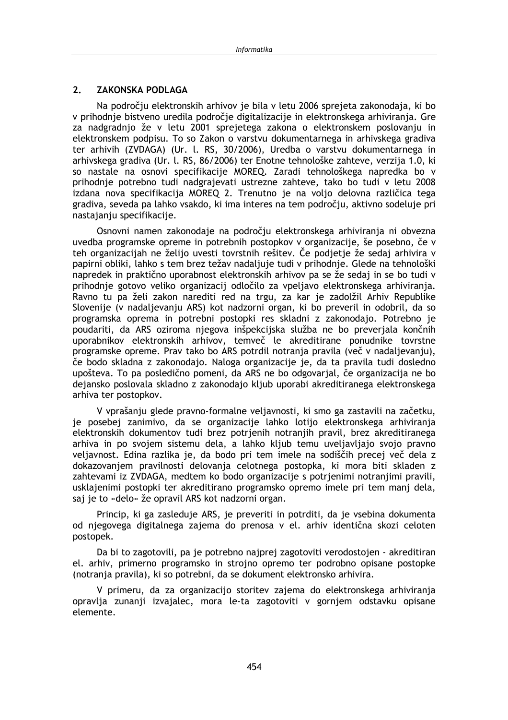#### $2.$ **ZAKONSKA PODLAGA**

Na področju elektronskih arhivov je bila v letu 2006 sprejeta zakonodaja, ki bo v prihodnje bistveno uredila področje digitalizacije in elektronskega arhiviranja. Gre za nadgradnio že v letu 2001 sprejetega zakona o elektronskem poslovanju in elektronskem podpisu. To so Zakon o varstvu dokumentarnega in arhivskega gradiva ter arhivih (ZVDAGA) (Ur. l. RS, 30/2006), Uredba o varstvu dokumentarnega in arhivskega gradiva (Ur. l. RS, 86/2006) ter Enotne tehnološke zahteve, verzija 1.0, ki so nastale na osnovi specifikacije MOREQ. Zaradi tehnološkega napredka bo v prihodnje potrebno tudi nadgrajevati ustrezne zahteve, tako bo tudi v letu 2008 izdana nova specifikacija MOREQ 2. Trenutno je na voljo delovna različica tega gradiva, seveda pa lahko vsakdo, ki ima interes na tem področju, aktivno sodeluje pri nastajanju specifikacije.

Osnovni namen zakonodaje na področju elektronskega arhiviranja ni obvezna uvedba programske opreme in potrebnih postopkov v organizacije, še posebno, če v teh organizacijah ne želijo uvesti tovrstnih rešitev. Če podjetje že sedaj arhivira v papirni obliki, lahko s tem brez težav nadaljuje tudi v prihodnje. Glede na tehnološki napredek in praktično uporabnost elektronskih arhivov pa se že sedaj in se bo tudi v prihodnje gotovo veliko organizacij odločilo za vpeljavo elektronskega arhiviranja. Ravno tu pa želi zakon narediti red na trgu, za kar je zadolžil Arhiv Republike Slovenije (v nadaljevanju ARS) kot nadzorni organ, ki bo preveril in odobril, da so programska oprema in potrebni postopki res skladni z zakonodajo. Potrebno je poudariti, da ARS oziroma njegova inšpekcijska služba ne bo preverjala končnih uporabnikov elektronskih arhivov, temveč le akreditirane ponudnike tovrstne programske opreme. Prav tako bo ARS potrdil notranja pravila (več v nadaljevanju), če bodo skladna z zakonodajo. Naloga organizacije je, da ta pravila tudi dosledno upošteva. To pa posledično pomeni, da ARS ne bo odgovarial, če organizacija ne bo dejansko poslovala skladno z zakonodajo kljub uporabi akreditiranega elektronskega arhiva ter postopkov.

V vprašanju glede pravno-formalne veljavnosti, ki smo ga zastavili na začetku, je posebej zanimivo, da se organizacije lahko lotijo elektronskega arhiviranja elektronskih dokumentov tudi brez potrjenih notranjih pravil, brez akreditiranega arhiva in po svojem sistemu dela, a lahko kljub temu uveljavljajo svojo pravno veljavnost. Edina razlika je, da bodo pri tem imele na sodiščih precej več dela z dokazovanjem pravilnosti delovanja celotnega postopka, ki mora biti skladen z zahtevami iz ZVDAGA, medtem ko bodo organizacije s potrjenimi notranjimi pravili, usklajenimi postopki ter akreditirano programsko opremo imele pri tem manj dela, saj je to »delo« že opravil ARS kot nadzorni organ.

Princip, ki ga zasleduje ARS, je preveriti in potrditi, da je vsebina dokumenta od njegovega digitalnega zajema do prenosa v el. arhiv identična skozi celoten postopek.

Da bi to zagotovili, pa je potrebno najprej zagotoviti verodostojen - akreditiran el, arhiv, primerno programsko in strojno opremo ter podrobno opisane postopke (notranja pravila), ki so potrebni, da se dokument elektronsko arhivira.

V primeru, da za organizacijo storitev zajema do elektronskega arhiviranja opravlja zunanji izvajalec, mora le-ta zagotoviti v gornjem odstavku opisane elemente.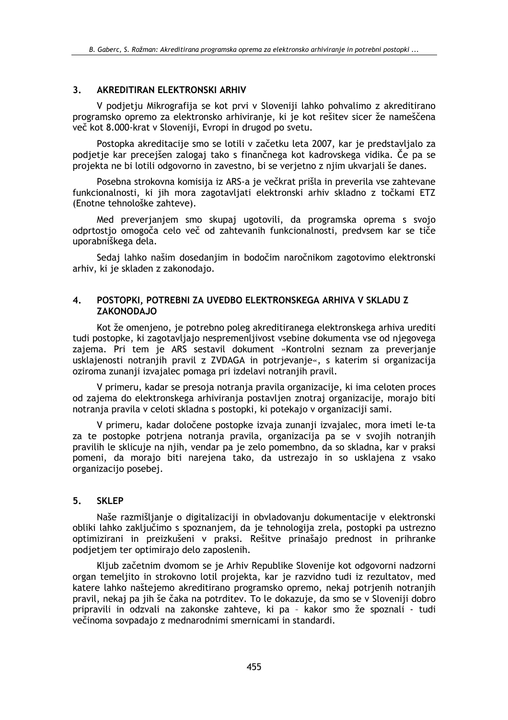#### AKREDITIRAN ELEKTRONSKI ARHIV  $3<sub>1</sub>$

V podjetju Mikrografija se kot prvi v Sloveniji lahko pohvalimo z akreditirano programsko opremo za elektronsko arhiviranje, ki je kot rešitev sicer že nameščena več kot 8.000-krat v Sloveniji, Evropi in drugod po svetu.

Postopka akreditacije smo se lotili v začetku leta 2007, kar je predstavljalo za podietie kar preceišen zalogai tako s finančnega kot kadrovskega vidika. Če pa se projekta ne bi lotili odgovorno in zavestno, bi se verjetno z njim ukvarjali še danes.

Posebna strokovna komisija iz ARS-a je večkrat prišla in preverila vse zahtevane funkcionalnosti, ki jih mora zagotavljati elektronski arhiv skladno z točkami ETZ (Enotne tehnološke zahteve).

Med preverjanjem smo skupaj ugotovili, da programska oprema s svojo odprtostjo omogoča celo več od zahtevanih funkcionalnosti, predvsem kar se tiče uporabniškega dela.

Sedaj lahko našim dosedanjim in bodočim naročnikom zagotovimo elektronski arhiv, ki je skladen z zakonodajo.

### $\mathbf{4}$ POSTOPKI, POTREBNI ZA UVEDBO ELEKTRONSKEGA ARHIVA V SKLADU Z **ZAKONODAJO**

Kot že omenjeno, je potrebno poleg akreditiranega elektronskega arhiva urediti tudi postopke, ki zagotavljajo nespremenljivost vsebine dokumenta vse od njegovega zajema. Pri tem je ARS sestavil dokument »Kontrolni seznam za preverjanje usklajenosti notranjih pravil z ZVDAGA in potrjevanje«, s katerim si organizacija oziroma zunanji izvajalec pomaga pri izdelavi notranjih pravil.

V primeru, kadar se presoja notranja pravila organizacije, ki ima celoten proces od zajema do elektronskega arhivirania postavljen znotraj organizacije, morajo biti notranja pravila v celoti skladna s postopki, ki potekajo v organizaciji sami.

V primeru, kadar določene postopke izvaja zunanji izvajalec, mora imeti le-ta za te postopke potriena notrania pravila, organizacija pa se v svojih notranijh pravilih le sklicuje na njih, vendar pa je zelo pomembno, da so skladna, kar v praksi pomeni, da morajo biti narejena tako, da ustrezajo in so usklajena z vsako organizacijo posebej.

#### $5<sub>1</sub>$ **SKLEP**

Naše razmišljanje o digitalizaciji in obvladovanju dokumentacije v elektronski obliki lahko zaključimo s spoznanjem, da je tehnologija zrela, postopki pa ustrezno optimizirani in preizkušeni v praksi. Rešitve prinašajo prednost in prihranke podjetjem ter optimirajo delo zaposlenih.

Kljub začetnim dvomom se je Arhiv Republike Slovenije kot odgovorni nadzorni organ temeljito in strokovno lotil projekta, kar je razvidno tudi iz rezultatov, med katere lahko naštejemo akreditirano programsko opremo, nekaj potrjenih notranjih pravil, nekaj pa jih še čaka na potrditev. To le dokazuje, da smo se v Sloveniji dobro pripravili in odzvali na zakonske zahteve, ki pa - kakor smo že spoznali - tudi večinoma sovpadajo z mednarodnimi smernicami in standardi.